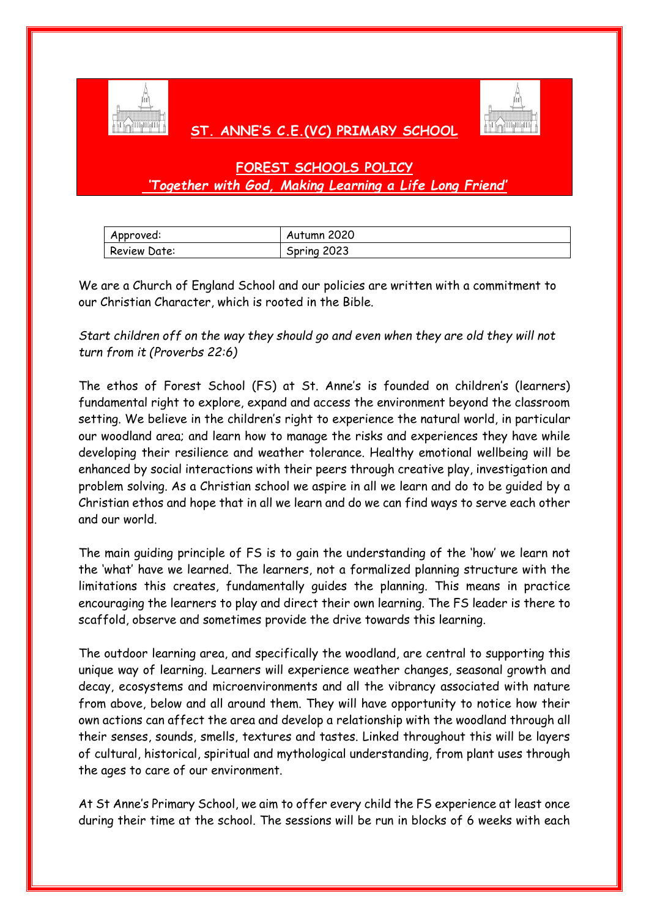

## **ST. ANNE'S C.E.(VC) PRIMARY SCHOOL**



## **FOREST SCHOOLS POLICY** *'Together with God, Making Learning a Life Long Friend'*

| Approved:    | Autumn 2020 |
|--------------|-------------|
| Review Date: | Spring 2023 |

We are a Church of England School and our policies are written with a commitment to our Christian Character, which is rooted in the Bible.

## *Start children off on the way they should go and even when they are old they will not turn from it (Proverbs 22:6)*

The ethos of Forest School (FS) at St. Anne's is founded on children's (learners) fundamental right to explore, expand and access the environment beyond the classroom setting. We believe in the children's right to experience the natural world, in particular our woodland area; and learn how to manage the risks and experiences they have while developing their resilience and weather tolerance. Healthy emotional wellbeing will be enhanced by social interactions with their peers through creative play, investigation and problem solving. As a Christian school we aspire in all we learn and do to be guided by a Christian ethos and hope that in all we learn and do we can find ways to serve each other and our world.

The main guiding principle of FS is to gain the understanding of the 'how' we learn not the 'what' have we learned. The learners, not a formalized planning structure with the limitations this creates, fundamentally guides the planning. This means in practice encouraging the learners to play and direct their own learning. The FS leader is there to scaffold, observe and sometimes provide the drive towards this learning.

The outdoor learning area, and specifically the woodland, are central to supporting this unique way of learning. Learners will experience weather changes, seasonal growth and decay, ecosystems and microenvironments and all the vibrancy associated with nature from above, below and all around them. They will have opportunity to notice how their own actions can affect the area and develop a relationship with the woodland through all their senses, sounds, smells, textures and tastes. Linked throughout this will be layers of cultural, historical, spiritual and mythological understanding, from plant uses through the ages to care of our environment.

At St Anne's Primary School, we aim to offer every child the FS experience at least once during their time at the school. The sessions will be run in blocks of 6 weeks with each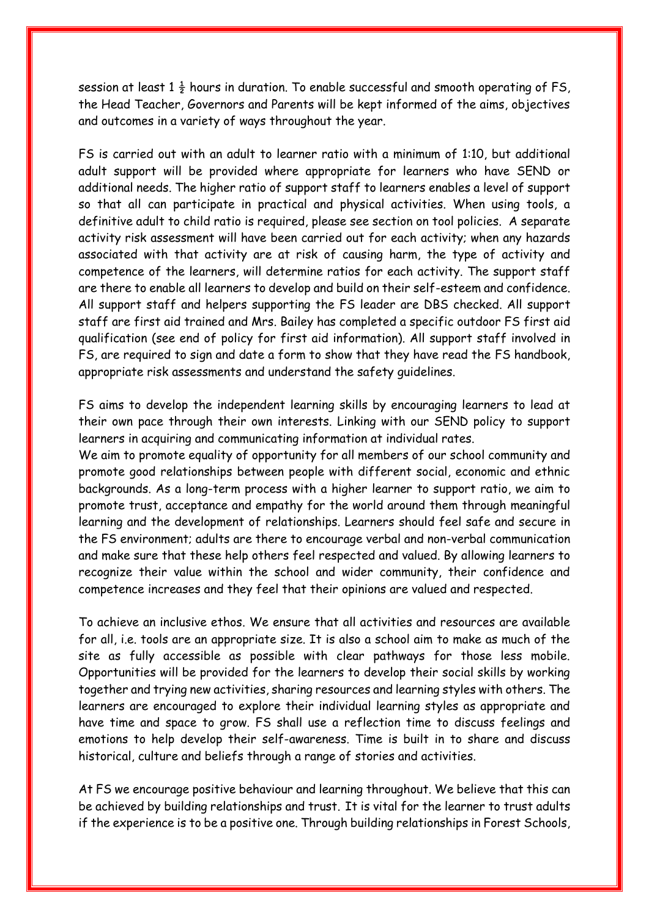session at least  $1\frac{1}{2}$  hours in duration. To enable successful and smooth operating of FS, the Head Teacher, Governors and Parents will be kept informed of the aims, objectives and outcomes in a variety of ways throughout the year.

FS is carried out with an adult to learner ratio with a minimum of 1:10, but additional adult support will be provided where appropriate for learners who have SEND or additional needs. The higher ratio of support staff to learners enables a level of support so that all can participate in practical and physical activities. When using tools, a definitive adult to child ratio is required, please see section on tool policies. A separate activity risk assessment will have been carried out for each activity; when any hazards associated with that activity are at risk of causing harm, the type of activity and competence of the learners, will determine ratios for each activity. The support staff are there to enable all learners to develop and build on their self-esteem and confidence. All support staff and helpers supporting the FS leader are DBS checked. All support staff are first aid trained and Mrs. Bailey has completed a specific outdoor FS first aid qualification (see end of policy for first aid information). All support staff involved in FS, are required to sign and date a form to show that they have read the FS handbook, appropriate risk assessments and understand the safety guidelines.

FS aims to develop the independent learning skills by encouraging learners to lead at their own pace through their own interests. Linking with our SEND policy to support learners in acquiring and communicating information at individual rates.

We aim to promote equality of opportunity for all members of our school community and promote good relationships between people with different social, economic and ethnic backgrounds. As a long-term process with a higher learner to support ratio, we aim to promote trust, acceptance and empathy for the world around them through meaningful learning and the development of relationships. Learners should feel safe and secure in the FS environment; adults are there to encourage verbal and non-verbal communication and make sure that these help others feel respected and valued. By allowing learners to recognize their value within the school and wider community, their confidence and competence increases and they feel that their opinions are valued and respected.

To achieve an inclusive ethos. We ensure that all activities and resources are available for all, i.e. tools are an appropriate size. It is also a school aim to make as much of the site as fully accessible as possible with clear pathways for those less mobile. Opportunities will be provided for the learners to develop their social skills by working together and trying new activities, sharing resources and learning styles with others. The learners are encouraged to explore their individual learning styles as appropriate and have time and space to grow. FS shall use a reflection time to discuss feelings and emotions to help develop their self-awareness. Time is built in to share and discuss historical, culture and beliefs through a range of stories and activities.

At FS we encourage positive behaviour and learning throughout. We believe that this can be achieved by building relationships and trust. It is vital for the learner to trust adults if the experience is to be a positive one. Through building relationships in Forest Schools,